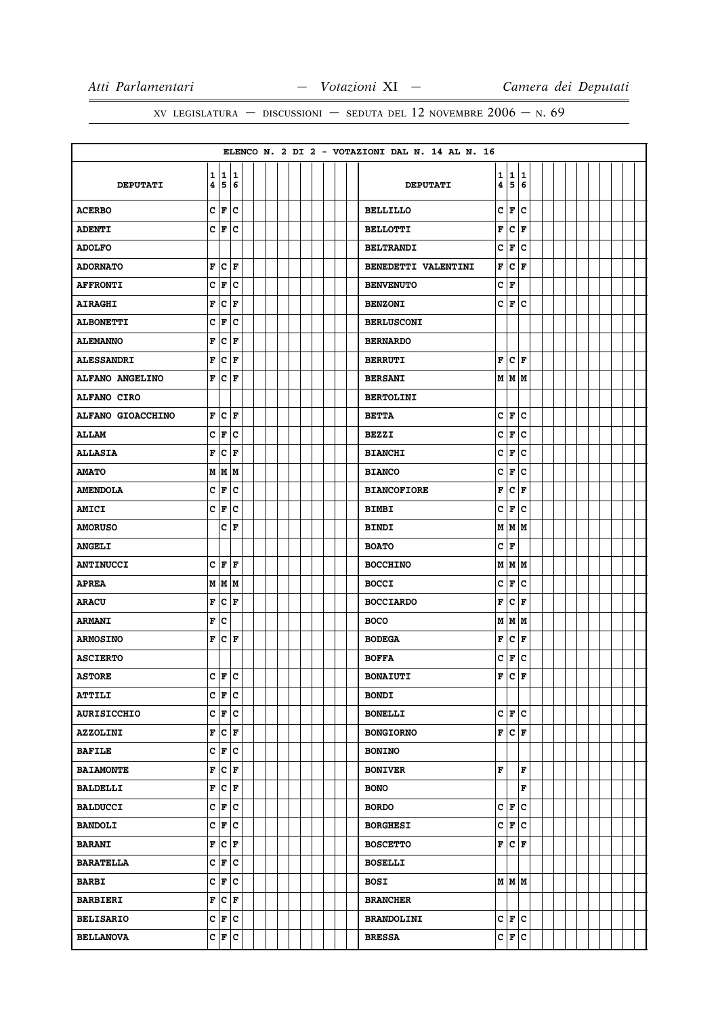|                    |             |                               |                      |  |  |  |  |  | ELENCO N. 2 DI 2 - VOTAZIONI DAL N. 14 AL N. 16 |   |                          |             |  |  |  |  |  |
|--------------------|-------------|-------------------------------|----------------------|--|--|--|--|--|-------------------------------------------------|---|--------------------------|-------------|--|--|--|--|--|
|                    |             | 1 1 1                         |                      |  |  |  |  |  |                                                 | 1 | 11                       | 1           |  |  |  |  |  |
| <b>DEPUTATI</b>    | 4           | 56                            |                      |  |  |  |  |  | <b>DEPUTATI</b>                                 | 4 | 5                        | 6           |  |  |  |  |  |
| <b>ACERBO</b>      |             | C F                           | lc                   |  |  |  |  |  | <b>BELLILLO</b>                                 | c | F                        | с           |  |  |  |  |  |
| <b>ADENTI</b>      |             | C F C                         |                      |  |  |  |  |  | <b>BELLOTTI</b>                                 | F | $ {\bf C}\>  $ ${\bf F}$ |             |  |  |  |  |  |
| <b>ADOLFO</b>      |             |                               |                      |  |  |  |  |  | <b>BELTRANDI</b>                                | с | F                        | c           |  |  |  |  |  |
| <b>ADORNATO</b>    | F           | $ {\tt C} $ F                 |                      |  |  |  |  |  | BENEDETTI VALENTINI                             | F | c                        | F           |  |  |  |  |  |
| <b>AFFRONTI</b>    | c           | F                             | ∣c                   |  |  |  |  |  | <b>BENVENUTO</b>                                | c | F                        |             |  |  |  |  |  |
| <b>AIRAGHI</b>     | F           | $\overline{c}$                | F                    |  |  |  |  |  | <b>BENZONI</b>                                  |   | C∣F                      | ١c          |  |  |  |  |  |
| <b>ALBONETTI</b>   | c           | F                             | c                    |  |  |  |  |  | <b>BERLUSCONI</b>                               |   |                          |             |  |  |  |  |  |
| <b>ALEMANNO</b>    | F           | c                             | F                    |  |  |  |  |  | <b>BERNARDO</b>                                 |   |                          |             |  |  |  |  |  |
| <b>ALESSANDRI</b>  | F           | $ {\bf C}  {\bf F} $          |                      |  |  |  |  |  | <b>BERRUTI</b>                                  | F | $ {\bf C}  {\bf F} $     |             |  |  |  |  |  |
| ALFANO ANGELINO    | F           | c                             | F                    |  |  |  |  |  | <b>BERSANI</b>                                  |   | M   M   M                |             |  |  |  |  |  |
| ALFANO CIRO        |             |                               |                      |  |  |  |  |  | <b>BERTOLINI</b>                                |   |                          |             |  |  |  |  |  |
| ALFANO GIOACCHINO  | F           |                               | $ {\bf c}\, $ F      |  |  |  |  |  | <b>BETTA</b>                                    | C | F                        | lc          |  |  |  |  |  |
| <b>ALLAM</b>       |             | $c _{\mathbf{F}}$             | c                    |  |  |  |  |  | <b>BEZZI</b>                                    | C | F                        | Iс          |  |  |  |  |  |
| <b>ALLASIA</b>     | F           | c                             | F                    |  |  |  |  |  | <b>BIANCHI</b>                                  | c | F                        | c           |  |  |  |  |  |
| <b>AMATO</b>       |             | M M M                         |                      |  |  |  |  |  | <b>BIANCO</b>                                   | C | F                        | c           |  |  |  |  |  |
| <b>AMENDOLA</b>    | С           | F                             | ∣c                   |  |  |  |  |  | <b>BIANCOFIORE</b>                              | F | lc.                      | F           |  |  |  |  |  |
| <b>AMICI</b>       | c           | F                             | ∣c                   |  |  |  |  |  | <b>BIMBI</b>                                    | c | F                        | c           |  |  |  |  |  |
| <b>AMORUSO</b>     |             |                               | $ C $ F              |  |  |  |  |  | <b>BINDI</b>                                    |   | M M M                    |             |  |  |  |  |  |
| <b>ANGELI</b>      |             |                               |                      |  |  |  |  |  | <b>BOATO</b>                                    | c | F                        |             |  |  |  |  |  |
| <b>ANTINUCCI</b>   |             | CF                            | F                    |  |  |  |  |  | <b>BOCCHINO</b>                                 |   | M   M   M                |             |  |  |  |  |  |
| <b>APREA</b>       |             | M M M                         |                      |  |  |  |  |  | <b>BOCCI</b>                                    | c | F                        | c           |  |  |  |  |  |
| <b>ARACU</b>       | F           | c                             | İΓ                   |  |  |  |  |  | <b>BOCCIARDO</b>                                | F | lc.                      | F           |  |  |  |  |  |
| <b>ARMANI</b>      | $\mathbf F$ | c                             |                      |  |  |  |  |  | <b>BOCO</b>                                     | M | MM                       |             |  |  |  |  |  |
| <b>ARMOSINO</b>    | F           | $ {\bf C}  {\bf F} $          |                      |  |  |  |  |  | <b>BODEGA</b>                                   | F | c                        | F           |  |  |  |  |  |
| <b>ASCIERTO</b>    |             |                               |                      |  |  |  |  |  | <b>BOFFA</b>                                    | C | F                        | c           |  |  |  |  |  |
| <b>ASTORE</b>      |             | $C$ $\mathbf{F}$ $\mathbf{C}$ |                      |  |  |  |  |  | <b>BONAIUTI</b>                                 | F | lc                       | F           |  |  |  |  |  |
| <b>ATTILI</b>      |             | C F                           | lc                   |  |  |  |  |  | <b>BONDI</b>                                    |   |                          |             |  |  |  |  |  |
| <b>AURISICCHIO</b> |             | C F C                         |                      |  |  |  |  |  | <b>BONELLI</b>                                  |   | C F C                    |             |  |  |  |  |  |
| <b>AZZOLINI</b>    | F           |                               | $ {\bf C}  {\bf F} $ |  |  |  |  |  | <b>BONGIORNO</b>                                | F | $ {\bf C}\>  {\bf F} $   |             |  |  |  |  |  |
| <b>BAFILE</b>      |             | C F C                         |                      |  |  |  |  |  | <b>BONINO</b>                                   |   |                          |             |  |  |  |  |  |
| <b>BAIAMONTE</b>   | F           |                               | $ {\tt c} $ F        |  |  |  |  |  | <b>BONIVER</b>                                  | F |                          | F           |  |  |  |  |  |
| <b>BALDELLI</b>    | F           | $ c _{\mathbf{F}}$            |                      |  |  |  |  |  | <b>BONO</b>                                     |   |                          | $\mathbf F$ |  |  |  |  |  |
| <b>BALDUCCI</b>    |             |                               | C F C                |  |  |  |  |  | <b>BORDO</b>                                    |   | C F                      | lc.         |  |  |  |  |  |
| <b>BANDOLI</b>     |             | C F                           | lc.                  |  |  |  |  |  | <b>BORGHESI</b>                                 |   | C F                      | lc.         |  |  |  |  |  |
| <b>BARANI</b>      | F           |                               | $ {\tt C} $ F        |  |  |  |  |  | <b>BOSCETTO</b>                                 | F | $ {\bf C} $ F            |             |  |  |  |  |  |
| <b>BARATELLA</b>   | c           | F                             | c                    |  |  |  |  |  | <b>BOSELLI</b>                                  |   |                          |             |  |  |  |  |  |
| <b>BARBI</b>       |             | $C \vert F \vert C$           |                      |  |  |  |  |  | <b>BOSI</b>                                     |   | M M M                    |             |  |  |  |  |  |
| <b>BARBIERI</b>    | F           | c                             | F                    |  |  |  |  |  | <b>BRANCHER</b>                                 |   |                          |             |  |  |  |  |  |
| <b>BELISARIO</b>   |             |                               | $c _{\mathbf{F}} c $ |  |  |  |  |  | <b>BRANDOLINI</b>                               |   | C F                      | c           |  |  |  |  |  |
| <b>BELLANOVA</b>   |             |                               | $ c _F c$            |  |  |  |  |  | <b>BRESSA</b>                                   |   | C F C                    |             |  |  |  |  |  |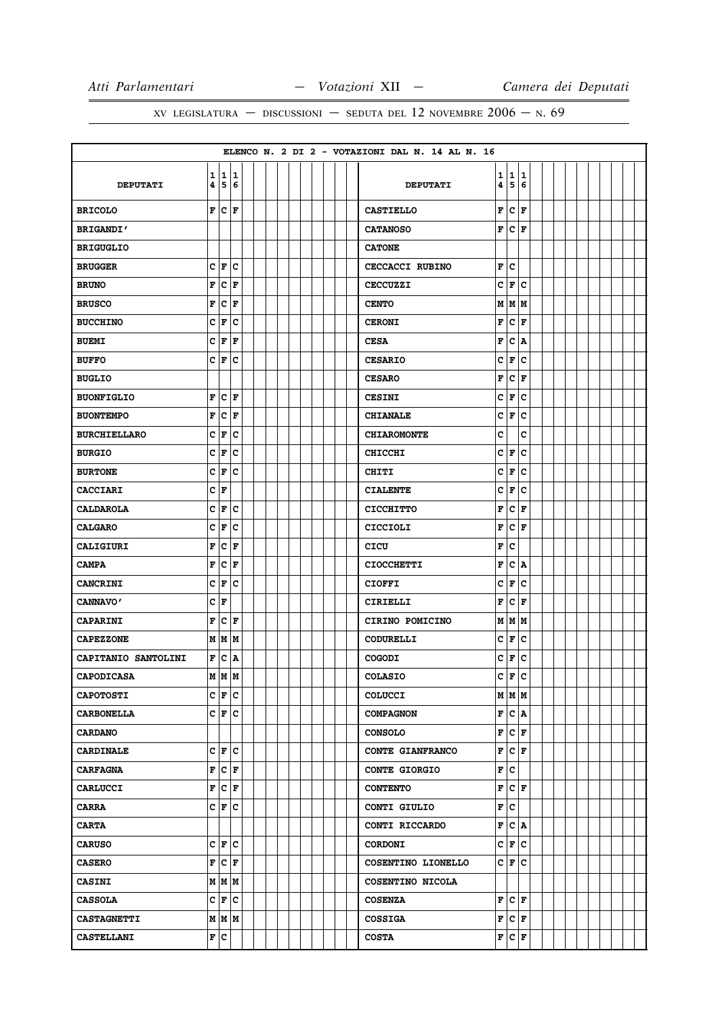|                     |                         |                |                       |  |  |  |  |  | ELENCO N. 2 DI 2 - VOTAZIONI DAL N. 14 AL N. 16 |   |                          |     |  |  |  |  |
|---------------------|-------------------------|----------------|-----------------------|--|--|--|--|--|-------------------------------------------------|---|--------------------------|-----|--|--|--|--|
|                     |                         |                | 1 1 1                 |  |  |  |  |  |                                                 | 1 | 11                       | 1   |  |  |  |  |
| <b>DEPUTATI</b>     | 4                       |                | 5 6                   |  |  |  |  |  | <b>DEPUTATI</b>                                 | 4 | 5                        | 6   |  |  |  |  |
| <b>BRICOLO</b>      | F                       | lc.            | ١F                    |  |  |  |  |  | <b>CASTIELLO</b>                                | F | c                        | F   |  |  |  |  |
| <b>BRIGANDI'</b>    |                         |                |                       |  |  |  |  |  | <b>CATANOSO</b>                                 | F | $ {\bf C}\>  $ ${\bf F}$ |     |  |  |  |  |
| <b>BRIGUGLIO</b>    |                         |                |                       |  |  |  |  |  | <b>CATONE</b>                                   |   |                          |     |  |  |  |  |
| <b>BRUGGER</b>      |                         | C F            | $ {\bf c}$            |  |  |  |  |  | CECCACCI RUBINO                                 | F | lc.                      |     |  |  |  |  |
| <b>BRUNO</b>        | F                       |                | $ {\bf c}\> _{\bf F}$ |  |  |  |  |  | <b>CECCUZZI</b>                                 | C | F                        | lc. |  |  |  |  |
| <b>BRUSCO</b>       | F                       | $\overline{c}$ | F                     |  |  |  |  |  | <b>CENTO</b>                                    |   | MMM                      |     |  |  |  |  |
| <b>BUCCHINO</b>     | c                       | F              | ∣c                    |  |  |  |  |  | <b>CERONI</b>                                   | F | lc.                      | F   |  |  |  |  |
| <b>BUEMI</b>        | C                       | F              | l F                   |  |  |  |  |  | <b>CESA</b>                                     | F | c                        | A   |  |  |  |  |
| <b>BUFFO</b>        |                         | C F            | c                     |  |  |  |  |  | <b>CESARIO</b>                                  | c | F                        | с   |  |  |  |  |
| <b>BUGLIO</b>       |                         |                |                       |  |  |  |  |  | <b>CESARO</b>                                   | F | c                        | F   |  |  |  |  |
| <b>BUONFIGLIO</b>   | F                       |                | $ {\bf C}  {\bf F} $  |  |  |  |  |  | <b>CESINI</b>                                   | c | F                        | lc  |  |  |  |  |
| <b>BUONTEMPO</b>    | F                       |                | $ {\bf c}\, $ F       |  |  |  |  |  | <b>CHIANALE</b>                                 | c | F                        | lc  |  |  |  |  |
| <b>BURCHIELLARO</b> |                         | C F            | lc                    |  |  |  |  |  | <b>CHIAROMONTE</b>                              | C |                          | c   |  |  |  |  |
| <b>BURGIO</b>       | С                       | F              | ∣c                    |  |  |  |  |  | <b>CHICCHI</b>                                  | c | F                        | с   |  |  |  |  |
| <b>BURTONE</b>      | c                       | F              | c                     |  |  |  |  |  | <b>CHITI</b>                                    | C | F                        | c   |  |  |  |  |
| <b>CACCIARI</b>     | с                       | F              |                       |  |  |  |  |  | <b>CIALENTE</b>                                 | с | F                        | с   |  |  |  |  |
| <b>CALDAROLA</b>    | C                       | F              | c                     |  |  |  |  |  | <b>CICCHITTO</b>                                | F | c                        | F   |  |  |  |  |
| <b>CALGARO</b>      | C                       | F              | c                     |  |  |  |  |  | <b>CICCIOLI</b>                                 | F | c                        | F   |  |  |  |  |
| <b>CALIGIURI</b>    | F                       | c              | F                     |  |  |  |  |  | <b>CICU</b>                                     | F | lc.                      |     |  |  |  |  |
| <b>CAMPA</b>        | F                       |                | $ {\bf C}  {\bf F} $  |  |  |  |  |  | <b>CIOCCHETTI</b>                               | F | lc.                      | ١A  |  |  |  |  |
| <b>CANCRINI</b>     | С                       | F              | c                     |  |  |  |  |  | <b>CIOFFI</b>                                   | c | F                        | c   |  |  |  |  |
| <b>CANNAVO'</b>     | c                       | F              |                       |  |  |  |  |  | CIRIELLI                                        | F | lc.                      | F   |  |  |  |  |
| <b>CAPARINI</b>     | F                       |                | $ {\bf C}  {\bf F} $  |  |  |  |  |  | CIRINO POMICINO                                 | M | MM                       |     |  |  |  |  |
| <b>CAPEZZONE</b>    |                         |                | MMM                   |  |  |  |  |  | <b>CODURELLI</b>                                | с | F                        | c   |  |  |  |  |
| CAPITANIO SANTOLINI | $\overline{\mathbf{F}}$ | c              | ∣٨                    |  |  |  |  |  | <b>COGODI</b>                                   | C | F                        | lc. |  |  |  |  |
| <b>CAPODICASA</b>   | M                       | İм             | lм                    |  |  |  |  |  | <b>COLASIO</b>                                  | Ć | F                        | lc. |  |  |  |  |
| <b>CAPOTOSTI</b>    |                         |                | $c _{\mathbf{F}} c $  |  |  |  |  |  | <b>COLUCCI</b>                                  |   | M M M                    |     |  |  |  |  |
| <b>CARBONELLA</b>   |                         |                | $C \mid F \mid C$     |  |  |  |  |  | <b>COMPAGNON</b>                                |   | F C A                    |     |  |  |  |  |
| <b>CARDANO</b>      |                         |                |                       |  |  |  |  |  | <b>CONSOLO</b>                                  | F | $ {\bf C}  {\bf F} $     |     |  |  |  |  |
| <b>CARDINALE</b>    |                         |                | $C \mid F \mid C$     |  |  |  |  |  | CONTE GIANFRANCO                                | F | C F                      |     |  |  |  |  |
| <b>CARFAGNA</b>     | F                       |                | $ {\tt C} $ F         |  |  |  |  |  | <b>CONTE GIORGIO</b>                            | F | c                        |     |  |  |  |  |
| <b>CARLUCCI</b>     |                         |                | F C F                 |  |  |  |  |  | <b>CONTENTO</b>                                 | F | $ c _F$                  |     |  |  |  |  |
| <b>CARRA</b>        |                         |                | C F C                 |  |  |  |  |  | CONTI GIULIO                                    | F | c                        |     |  |  |  |  |
| <b>CARTA</b>        |                         |                |                       |  |  |  |  |  | CONTI RICCARDO                                  |   | F C A                    |     |  |  |  |  |
| <b>CARUSO</b>       |                         |                | $C \mid F \mid C$     |  |  |  |  |  | <b>CORDONI</b>                                  |   | C F C                    |     |  |  |  |  |
| <b>CASERO</b>       | F                       |                | C F                   |  |  |  |  |  | COSENTINO LIONELLO                              |   | C F C                    |     |  |  |  |  |
| <b>CASINI</b>       |                         |                | $M$ $M$ $M$           |  |  |  |  |  | COSENTINO NICOLA                                |   |                          |     |  |  |  |  |
| <b>CASSOLA</b>      |                         |                | C F C                 |  |  |  |  |  | <b>COSENZA</b>                                  |   | F C                      | F   |  |  |  |  |
| <b>CASTAGNETTI</b>  |                         |                | $M$ $M$ $M$           |  |  |  |  |  | <b>COSSIGA</b>                                  |   | F C F                    |     |  |  |  |  |
| <b>CASTELLANI</b>   |                         | F C            |                       |  |  |  |  |  | <b>COSTA</b>                                    |   | F C F                    |     |  |  |  |  |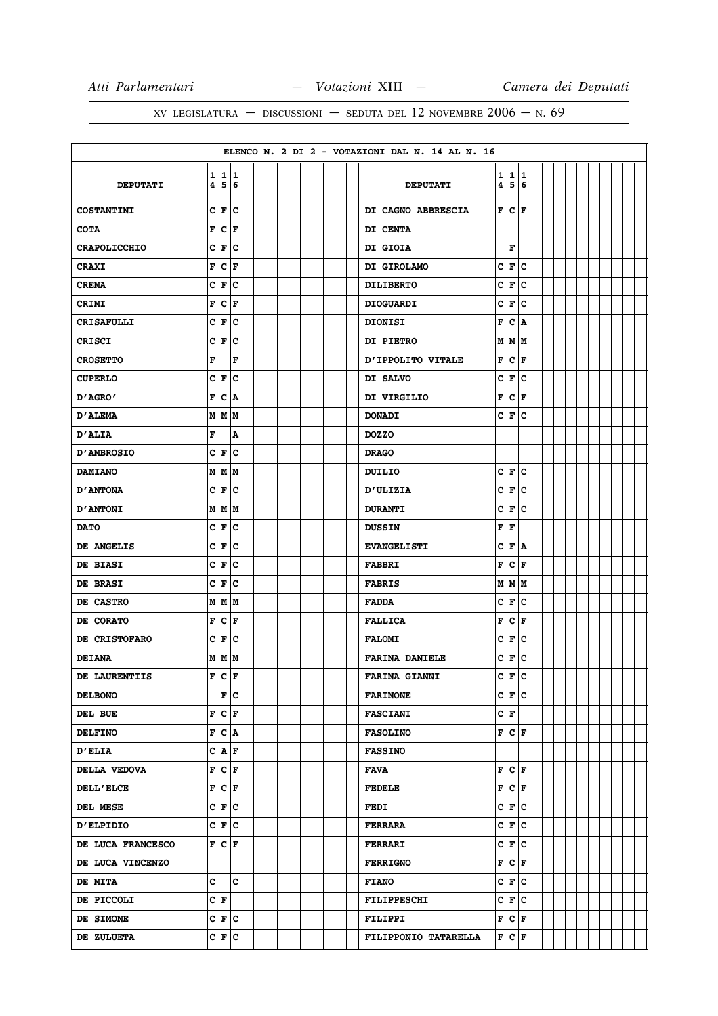|                     |   |                                    |                             |  |  |  |  |  | ELENCO N. 2 DI 2 - VOTAZIONI DAL N. 14 AL N. 16 |                |                          |        |  |  |  |  |
|---------------------|---|------------------------------------|-----------------------------|--|--|--|--|--|-------------------------------------------------|----------------|--------------------------|--------|--|--|--|--|
| <b>DEPUTATI</b>     | 4 | 1 1 1                              | 5 6                         |  |  |  |  |  | <b>DEPUTATI</b>                                 | 1<br>4         | 1<br>5                   | 1<br>6 |  |  |  |  |
| COSTANTINI          |   | C F                                | c                           |  |  |  |  |  | DI CAGNO ABBRESCIA                              |                | F C                      | ١F     |  |  |  |  |
| <b>COTA</b>         | F |                                    | $ {\bf C}\> {\bf F}$        |  |  |  |  |  | DI CENTA                                        |                |                          |        |  |  |  |  |
| <b>CRAPOLICCHIO</b> | c | F                                  | c                           |  |  |  |  |  | <b>DI GIOIA</b>                                 |                | F                        |        |  |  |  |  |
| <b>CRAXI</b>        | F | $ {\tt C}\, $ F                    |                             |  |  |  |  |  | DI GIROLAMO                                     | c              | F C                      |        |  |  |  |  |
| <b>CREMA</b>        | C | F                                  | c                           |  |  |  |  |  | <b>DILIBERTO</b>                                | c              | F                        | c      |  |  |  |  |
| <b>CRIMI</b>        | F | $\overline{c}$                     | F                           |  |  |  |  |  | <b>DIOGUARDI</b>                                | C              | F                        | lc.    |  |  |  |  |
| <b>CRISAFULLI</b>   | c | F                                  | c                           |  |  |  |  |  | <b>DIONISI</b>                                  | F              | $ {\tt C}\, $ A          |        |  |  |  |  |
| CRISCI              |   | $c _{\mathbf{F}}$                  | lc                          |  |  |  |  |  | DI PIETRO                                       |                | M   M   M                |        |  |  |  |  |
| <b>CROSETTO</b>     | F |                                    | F                           |  |  |  |  |  | D'IPPOLITO VITALE                               | F              | $ {\bf C}\>  $ ${\bf F}$ |        |  |  |  |  |
| <b>CUPERLO</b>      | c | F                                  | c                           |  |  |  |  |  | DI SALVO                                        | c              | F                        | c      |  |  |  |  |
| 'AGRO אם            | F | lc.                                | ١A                          |  |  |  |  |  | DI VIRGILIO                                     | F              | lc.                      | F      |  |  |  |  |
| <b>D'ALEMA</b>      | M |                                    | M   M                       |  |  |  |  |  | <b>DONADI</b>                                   | c              | F                        | c      |  |  |  |  |
| <b>D'ALIA</b>       | F |                                    | A                           |  |  |  |  |  | <b>DOZZO</b>                                    |                |                          |        |  |  |  |  |
| <b>D'AMBROSIO</b>   |   | C F                                | ∣c                          |  |  |  |  |  | <b>DRAGO</b>                                    |                |                          |        |  |  |  |  |
| <b>DAMIANO</b>      |   | M M M                              |                             |  |  |  |  |  | DUILIO                                          | c              | F                        | c      |  |  |  |  |
| <b>D'ANTONA</b>     | c | F                                  | ∣c                          |  |  |  |  |  | <b>D'ULIZIA</b>                                 | c              | F                        | lc.    |  |  |  |  |
| <b>D'ANTONI</b>     |   | M   M   M                          |                             |  |  |  |  |  | <b>DURANTI</b>                                  | c              | F                        | c      |  |  |  |  |
| <b>DATO</b>         | c | F                                  | ∣c                          |  |  |  |  |  | <b>DUSSIN</b>                                   | F              | F                        |        |  |  |  |  |
| DE ANGELIS          | C | F                                  | c                           |  |  |  |  |  | <b>EVANGELISTI</b>                              | C              | F                        | ١A     |  |  |  |  |
| DE BIASI            |   | C F                                | lc                          |  |  |  |  |  | <b>FABBRI</b>                                   | F              | lc.                      | l F    |  |  |  |  |
| DE BRASI            | c | F                                  | ∣c                          |  |  |  |  |  | <b>FABRIS</b>                                   |                | $M$ $M$ $M$              |        |  |  |  |  |
| DE CASTRO           |   | M   M   M                          |                             |  |  |  |  |  | <b>FADDA</b>                                    | c              | F                        | c      |  |  |  |  |
| DE CORATO           | F | $ {\bf C}  {\bf F} $               |                             |  |  |  |  |  | <b>FALLICA</b>                                  | F              | $ {\bf C}\> {\bf F} $    |        |  |  |  |  |
| DE CRISTOFARO       | c | F                                  | c                           |  |  |  |  |  | <b>FALOMI</b>                                   | c              | F                        | с      |  |  |  |  |
| <b>DEIANA</b>       |   | M M M                              |                             |  |  |  |  |  | <b>FARINA DANIELE</b>                           | C              | F                        | c      |  |  |  |  |
| DE LAURENTIIS       |   | $\mathbf{F} \mathbf{C} \mathbf{F}$ |                             |  |  |  |  |  | <b>FARINA GIANNI</b>                            | $\overline{c}$ | F                        | c      |  |  |  |  |
| <b>DELBONO</b>      |   |                                    | F C                         |  |  |  |  |  | <b>FARINONE</b>                                 |                | C F C                    |        |  |  |  |  |
| DEL BUE             | F |                                    | $ c _F$                     |  |  |  |  |  | <b>FASCIANI</b>                                 |                | C F                      |        |  |  |  |  |
| <b>DELFINO</b>      | F | $ C $ A                            |                             |  |  |  |  |  | <b>FASOLINO</b>                                 |                | F C F                    |        |  |  |  |  |
| <b>D'ELIA</b>       |   |                                    | $C  \mathbf{A}  \mathbf{F}$ |  |  |  |  |  | <b>FASSINO</b>                                  |                |                          |        |  |  |  |  |
| DELLA VEDOVA        | F |                                    | $ c _{\mathbf{F}}$          |  |  |  |  |  | FAVA                                            |                | F C F                    |        |  |  |  |  |
| <b>DELL'ELCE</b>    |   | F C F                              |                             |  |  |  |  |  | <b>FEDELE</b>                                   | F              | $ {\bf c} $ F            |        |  |  |  |  |
| DEL MESE            |   |                                    | $c _{\mathbf{F}} c $        |  |  |  |  |  | <b>FEDI</b>                                     |                | $c _{\mathbf{F}} c $     |        |  |  |  |  |
| <b>D'ELPIDIO</b>    |   |                                    | $c _{\mathbf{F}} c $        |  |  |  |  |  | <b>FERRARA</b>                                  |                | $c _{\mathbf{F}} c $     |        |  |  |  |  |
| DE LUCA FRANCESCO   | F | $ {\bf C}  {\bf F} $               |                             |  |  |  |  |  | <b>FERRARI</b>                                  |                | C F C                    |        |  |  |  |  |
| DE LUCA VINCENZO    |   |                                    |                             |  |  |  |  |  | <b>FERRIGNO</b>                                 | F              | $ {\bf C}  {\bf F} $     |        |  |  |  |  |
| <b>DE MITA</b>      | c |                                    | lc.                         |  |  |  |  |  | <b>FIANO</b>                                    |                | C F C                    |        |  |  |  |  |
| DE PICCOLI          |   | C F                                |                             |  |  |  |  |  | <b>FILIPPESCHI</b>                              |                | C F                      | lc.    |  |  |  |  |
| DE SIMONE           |   | $c \mid \mathbf{F} \mid c$         |                             |  |  |  |  |  | FILIPPI                                         |                | F C F                    |        |  |  |  |  |
| DE ZULUETA          |   |                                    | $c \mid \mathbf{F} \mid c$  |  |  |  |  |  | FILIPPONIO TATARELLA                            |                | F C F                    |        |  |  |  |  |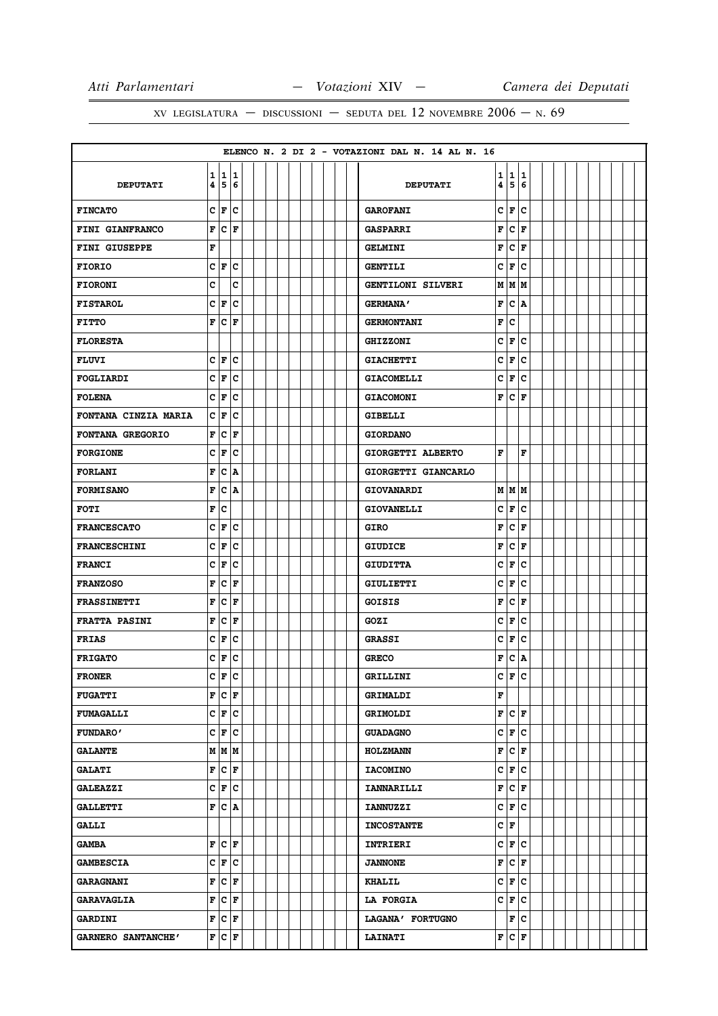|                      |              |                       |                         |  |  |  |  |  | ELENCO N. 2 DI 2 - VOTAZIONI DAL N. 14 AL N. 16 |   |                        |     |  |  |  |  |  |
|----------------------|--------------|-----------------------|-------------------------|--|--|--|--|--|-------------------------------------------------|---|------------------------|-----|--|--|--|--|--|
|                      | $\mathbf{1}$ |                       | 11                      |  |  |  |  |  |                                                 | 1 | 1                      | 1   |  |  |  |  |  |
| <b>DEPUTATI</b>      | 4            |                       | 5 6                     |  |  |  |  |  | <b>DEPUTATI</b>                                 | 4 | 5                      | 6   |  |  |  |  |  |
| <b>FINCATO</b>       | c            | F                     | c                       |  |  |  |  |  | <b>GAROFANI</b>                                 | c | l F                    | C   |  |  |  |  |  |
| FINI GIANFRANCO      | F            |                       | $ {\bf C}\>  {\bf F}\>$ |  |  |  |  |  | <b>GASPARRI</b>                                 | F | lc.                    | F   |  |  |  |  |  |
| <b>FINI GIUSEPPE</b> | F            |                       |                         |  |  |  |  |  | <b>GELMINI</b>                                  | F | c                      | F   |  |  |  |  |  |
| <b>FIORIO</b>        |              | $c _{\mathbf{F}} c$   |                         |  |  |  |  |  | <b>GENTILI</b>                                  | c | F                      | c   |  |  |  |  |  |
| <b>FIORONI</b>       | C            |                       | c                       |  |  |  |  |  | GENTILONI SILVERI                               |   | M   M   M              |     |  |  |  |  |  |
| <b>FISTAROL</b>      |              | C F                   | c                       |  |  |  |  |  | <b>GERMANA'</b>                                 | F | lc.                    | ١A  |  |  |  |  |  |
| <b>FITTO</b>         | F            |                       | $ {\bf C}\> {\bf F}\>$  |  |  |  |  |  | <b>GERMONTANI</b>                               | F | c                      |     |  |  |  |  |  |
| <b>FLORESTA</b>      |              |                       |                         |  |  |  |  |  | <b>GHIZZONI</b>                                 | C | F                      | c   |  |  |  |  |  |
| <b>FLUVI</b>         |              | C F C                 |                         |  |  |  |  |  | <b>GIACHETTI</b>                                | c | F                      | c   |  |  |  |  |  |
| FOGLIARDI            | C            | F                     | c                       |  |  |  |  |  | <b>GIACOMELLI</b>                               | C | F                      | c   |  |  |  |  |  |
| <b>FOLENA</b>        |              | C F                   | lc                      |  |  |  |  |  | <b>GIACOMONI</b>                                | F | lc.                    | F   |  |  |  |  |  |
| FONTANA CINZIA MARIA |              | C F                   | c                       |  |  |  |  |  | <b>GIBELLI</b>                                  |   |                        |     |  |  |  |  |  |
| FONTANA GREGORIO     | F            | c                     | F                       |  |  |  |  |  | <b>GIORDANO</b>                                 |   |                        |     |  |  |  |  |  |
| <b>FORGIONE</b>      | c            | F                     | lc.                     |  |  |  |  |  | GIORGETTI ALBERTO                               | F |                        | F   |  |  |  |  |  |
| <b>FORLANI</b>       | F            | c                     | A                       |  |  |  |  |  | GIORGETTI GIANCARLO                             |   |                        |     |  |  |  |  |  |
| <b>FORMISANO</b>     | F            |                       | $ {\bf C}\>  {\bf A}\>$ |  |  |  |  |  | <b>GIOVANARDI</b>                               |   | M   M   M              |     |  |  |  |  |  |
| <b>FOTI</b>          | F            | c                     |                         |  |  |  |  |  | <b>GIOVANELLI</b>                               | c | F                      | c   |  |  |  |  |  |
| <b>FRANCESCATO</b>   | c            | F                     | lc                      |  |  |  |  |  | <b>GIRO</b>                                     | F | lc.                    | F   |  |  |  |  |  |
| <b>FRANCESCHINI</b>  | c            | F                     | lc.                     |  |  |  |  |  | <b>GIUDICE</b>                                  | F | c                      | F   |  |  |  |  |  |
| <b>FRANCI</b>        | C            | F                     | C                       |  |  |  |  |  | <b>GIUDITTA</b>                                 | c | F                      | c   |  |  |  |  |  |
| <b>FRANZOSO</b>      | F            |                       | $ {\bf C}\> {\bf F} $   |  |  |  |  |  | <b>GIULIETTI</b>                                | c | F                      | c   |  |  |  |  |  |
| <b>FRASSINETTI</b>   | F            | c                     | F                       |  |  |  |  |  | <b>GOISIS</b>                                   | F | c                      | F   |  |  |  |  |  |
| <b>FRATTA PASINI</b> | F            | c                     | lF                      |  |  |  |  |  | GOZI                                            | c | F                      | c   |  |  |  |  |  |
| <b>FRIAS</b>         | c            | F                     | c                       |  |  |  |  |  | <b>GRASSI</b>                                   | c | F                      | c   |  |  |  |  |  |
| <b>FRIGATO</b>       | C            | F                     | c                       |  |  |  |  |  | <b>GRECO</b>                                    | F | lc.                    | A   |  |  |  |  |  |
| <b>FRONER</b>        | Ć            | F                     | c                       |  |  |  |  |  | <b>GRILLINI</b>                                 | C | F.                     | c   |  |  |  |  |  |
| <b>FUGATTI</b>       | F            | $ {\bf C} $ ${\bf F}$ |                         |  |  |  |  |  | <b>GRIMALDI</b>                                 | F |                        |     |  |  |  |  |  |
| <b>FUMAGALLI</b>     |              |                       | $C \mid F \mid C$       |  |  |  |  |  | <b>GRIMOLDI</b>                                 |   | F C F                  |     |  |  |  |  |  |
| <b>FUNDARO'</b>      |              | C F                   | lc.                     |  |  |  |  |  | <b>GUADAGNO</b>                                 |   | CF                     | c   |  |  |  |  |  |
| <b>GALANTE</b>       |              |                       | $M$ $M$ $M$             |  |  |  |  |  | <b>HOLZMANN</b>                                 |   | F C F                  |     |  |  |  |  |  |
| <b>GALATI</b>        | F            |                       | $ {\bf C}  {\bf F} $    |  |  |  |  |  | <b>IACOMINO</b>                                 |   | C F                    | lc. |  |  |  |  |  |
| <b>GALEAZZI</b>      |              | C F C                 |                         |  |  |  |  |  | <b>IANNARILLI</b>                               | F | $ {\bf C}\>  {\bf F} $ |     |  |  |  |  |  |
| <b>GALLETTI</b>      |              |                       | F C A                   |  |  |  |  |  | <b>IANNUZZI</b>                                 |   | C F C                  |     |  |  |  |  |  |
| <b>GALLI</b>         |              |                       |                         |  |  |  |  |  | <b>INCOSTANTE</b>                               |   | C∣F                    |     |  |  |  |  |  |
| <b>GAMBA</b>         |              |                       | F C F                   |  |  |  |  |  | <b>INTRIERI</b>                                 |   | C F C                  |     |  |  |  |  |  |
|                      |              |                       | $C \mid F \mid C$       |  |  |  |  |  |                                                 | F | $ {\bf C}  {\bf F} $   |     |  |  |  |  |  |
| <b>GAMBESCIA</b>     |              |                       |                         |  |  |  |  |  | <b>JANNONE</b>                                  |   |                        |     |  |  |  |  |  |
| <b>GARAGNANI</b>     | F            |                       | $ c _{\mathbf{F}}$      |  |  |  |  |  | <b>KHALIL</b>                                   |   | C F C                  |     |  |  |  |  |  |
| <b>GARAVAGLIA</b>    | F            |                       | $ {\bf c}\, $ F         |  |  |  |  |  | <b>LA FORGIA</b>                                |   | C F                    | c   |  |  |  |  |  |
| <b>GARDINI</b>       |              | F C F                 |                         |  |  |  |  |  | LAGANA' FORTUGNO                                |   | F                      | lc. |  |  |  |  |  |
| GARNERO SANTANCHE'   |              |                       | F C F                   |  |  |  |  |  | <b>LAINATI</b>                                  |   | F C F                  |     |  |  |  |  |  |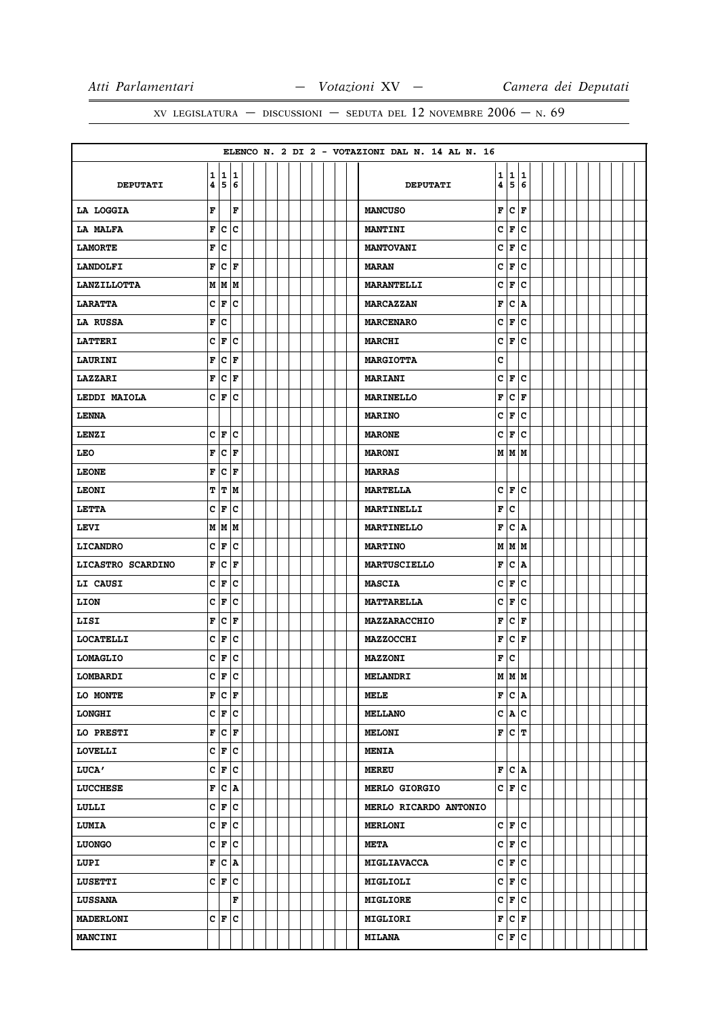| 1 1 1<br>1 1 1<br>4 5 6<br>4 5 6<br><b>DEPUTATI</b><br><b>DEPUTATI</b><br>F C F<br>F<br>F<br>LA LOGGIA<br><b>MANCUSO</b><br>F C C<br>C F C<br>LA MALFA<br><b>MANTINI</b><br>F C<br>C F <br>c<br><b>LAMORTE</b><br><b>MANTOVANI</b><br>F C F<br>C F C<br><b>LANDOLFI</b><br><b>MARAN</b><br>C F <br>M M M<br>lc.<br><b>MARANTELLI</b><br><b>LANZILLOTTA</b><br>$C \mathbf{F} C$<br>F C A<br><b>LARATTA</b><br><b>MARCAZZAN</b><br>C F C<br>F C<br><b>LA RUSSA</b><br><b>MARCENARO</b><br>$C \mathbf{F} C$<br>C F C<br><b>LATTERI</b><br><b>MARCHI</b><br>F C F<br>c<br><b>MARGIOTTA</b><br><b>LAURINI</b><br>F C F<br>C F <br>lc.<br><b>LAZZARI</b><br><b>MARIANI</b><br>$C \mid F \mid C$<br>F C F<br>LEDDI MAIOLA<br><b>MARINELLO</b><br>C F C<br><b>LENNA</b><br><b>MARINO</b><br>$c _{\mathbf{F}} c$<br>$C$ $ F C$<br>LENZI<br><b>MARONE</b><br>F C F<br><b>LEO</b><br>M   M   M<br><b>MARONI</b><br>F C F<br><b>LEONE</b><br><b>MARRAS</b><br>C F C<br><b>LEONI</b><br>T T M<br><b>MARTELLA</b><br>C F C<br>F C<br>LETTA<br><b>MARTINELLI</b><br>F C A<br>M   M   M<br><b>LEVI</b><br><b>MARTINELLO</b><br>$C \mid F \mid C$<br><b>LICANDRO</b><br><b>MARTINO</b><br>M   M   M<br>F C F<br>$ c $ A<br>F<br>LICASTRO SCARDINO<br><b>MARTUSCIELLO</b><br>$C \mid F \mid C$<br>C F C<br>LI CAUSI<br><b>MASCIA</b><br>$C \mathbf{F} C$<br>$ C $ F<br>c<br><b>MATTARELLA</b><br>LION<br>F C F<br>$ {\bf C}  {\bf F} $<br>F<br>LISI<br><b>MAZZARACCHIO</b><br>$C \mid F \mid C$<br> F C F |                  |  |  |  |  |  |  |  | ELENCO N. 2 DI 2 - VOTAZIONI DAL N. 14 AL N. 16 |  |  |  |  |  |  |
|-----------------------------------------------------------------------------------------------------------------------------------------------------------------------------------------------------------------------------------------------------------------------------------------------------------------------------------------------------------------------------------------------------------------------------------------------------------------------------------------------------------------------------------------------------------------------------------------------------------------------------------------------------------------------------------------------------------------------------------------------------------------------------------------------------------------------------------------------------------------------------------------------------------------------------------------------------------------------------------------------------------------------------------------------------------------------------------------------------------------------------------------------------------------------------------------------------------------------------------------------------------------------------------------------------------------------------------------------------------------------------------------------------------------------------------------------------------------------------------------|------------------|--|--|--|--|--|--|--|-------------------------------------------------|--|--|--|--|--|--|
|                                                                                                                                                                                                                                                                                                                                                                                                                                                                                                                                                                                                                                                                                                                                                                                                                                                                                                                                                                                                                                                                                                                                                                                                                                                                                                                                                                                                                                                                                         |                  |  |  |  |  |  |  |  |                                                 |  |  |  |  |  |  |
|                                                                                                                                                                                                                                                                                                                                                                                                                                                                                                                                                                                                                                                                                                                                                                                                                                                                                                                                                                                                                                                                                                                                                                                                                                                                                                                                                                                                                                                                                         |                  |  |  |  |  |  |  |  |                                                 |  |  |  |  |  |  |
|                                                                                                                                                                                                                                                                                                                                                                                                                                                                                                                                                                                                                                                                                                                                                                                                                                                                                                                                                                                                                                                                                                                                                                                                                                                                                                                                                                                                                                                                                         |                  |  |  |  |  |  |  |  |                                                 |  |  |  |  |  |  |
|                                                                                                                                                                                                                                                                                                                                                                                                                                                                                                                                                                                                                                                                                                                                                                                                                                                                                                                                                                                                                                                                                                                                                                                                                                                                                                                                                                                                                                                                                         |                  |  |  |  |  |  |  |  |                                                 |  |  |  |  |  |  |
|                                                                                                                                                                                                                                                                                                                                                                                                                                                                                                                                                                                                                                                                                                                                                                                                                                                                                                                                                                                                                                                                                                                                                                                                                                                                                                                                                                                                                                                                                         |                  |  |  |  |  |  |  |  |                                                 |  |  |  |  |  |  |
|                                                                                                                                                                                                                                                                                                                                                                                                                                                                                                                                                                                                                                                                                                                                                                                                                                                                                                                                                                                                                                                                                                                                                                                                                                                                                                                                                                                                                                                                                         |                  |  |  |  |  |  |  |  |                                                 |  |  |  |  |  |  |
|                                                                                                                                                                                                                                                                                                                                                                                                                                                                                                                                                                                                                                                                                                                                                                                                                                                                                                                                                                                                                                                                                                                                                                                                                                                                                                                                                                                                                                                                                         |                  |  |  |  |  |  |  |  |                                                 |  |  |  |  |  |  |
|                                                                                                                                                                                                                                                                                                                                                                                                                                                                                                                                                                                                                                                                                                                                                                                                                                                                                                                                                                                                                                                                                                                                                                                                                                                                                                                                                                                                                                                                                         |                  |  |  |  |  |  |  |  |                                                 |  |  |  |  |  |  |
|                                                                                                                                                                                                                                                                                                                                                                                                                                                                                                                                                                                                                                                                                                                                                                                                                                                                                                                                                                                                                                                                                                                                                                                                                                                                                                                                                                                                                                                                                         |                  |  |  |  |  |  |  |  |                                                 |  |  |  |  |  |  |
|                                                                                                                                                                                                                                                                                                                                                                                                                                                                                                                                                                                                                                                                                                                                                                                                                                                                                                                                                                                                                                                                                                                                                                                                                                                                                                                                                                                                                                                                                         |                  |  |  |  |  |  |  |  |                                                 |  |  |  |  |  |  |
|                                                                                                                                                                                                                                                                                                                                                                                                                                                                                                                                                                                                                                                                                                                                                                                                                                                                                                                                                                                                                                                                                                                                                                                                                                                                                                                                                                                                                                                                                         |                  |  |  |  |  |  |  |  |                                                 |  |  |  |  |  |  |
|                                                                                                                                                                                                                                                                                                                                                                                                                                                                                                                                                                                                                                                                                                                                                                                                                                                                                                                                                                                                                                                                                                                                                                                                                                                                                                                                                                                                                                                                                         |                  |  |  |  |  |  |  |  |                                                 |  |  |  |  |  |  |
|                                                                                                                                                                                                                                                                                                                                                                                                                                                                                                                                                                                                                                                                                                                                                                                                                                                                                                                                                                                                                                                                                                                                                                                                                                                                                                                                                                                                                                                                                         |                  |  |  |  |  |  |  |  |                                                 |  |  |  |  |  |  |
|                                                                                                                                                                                                                                                                                                                                                                                                                                                                                                                                                                                                                                                                                                                                                                                                                                                                                                                                                                                                                                                                                                                                                                                                                                                                                                                                                                                                                                                                                         |                  |  |  |  |  |  |  |  |                                                 |  |  |  |  |  |  |
|                                                                                                                                                                                                                                                                                                                                                                                                                                                                                                                                                                                                                                                                                                                                                                                                                                                                                                                                                                                                                                                                                                                                                                                                                                                                                                                                                                                                                                                                                         |                  |  |  |  |  |  |  |  |                                                 |  |  |  |  |  |  |
|                                                                                                                                                                                                                                                                                                                                                                                                                                                                                                                                                                                                                                                                                                                                                                                                                                                                                                                                                                                                                                                                                                                                                                                                                                                                                                                                                                                                                                                                                         |                  |  |  |  |  |  |  |  |                                                 |  |  |  |  |  |  |
|                                                                                                                                                                                                                                                                                                                                                                                                                                                                                                                                                                                                                                                                                                                                                                                                                                                                                                                                                                                                                                                                                                                                                                                                                                                                                                                                                                                                                                                                                         |                  |  |  |  |  |  |  |  |                                                 |  |  |  |  |  |  |
|                                                                                                                                                                                                                                                                                                                                                                                                                                                                                                                                                                                                                                                                                                                                                                                                                                                                                                                                                                                                                                                                                                                                                                                                                                                                                                                                                                                                                                                                                         |                  |  |  |  |  |  |  |  |                                                 |  |  |  |  |  |  |
|                                                                                                                                                                                                                                                                                                                                                                                                                                                                                                                                                                                                                                                                                                                                                                                                                                                                                                                                                                                                                                                                                                                                                                                                                                                                                                                                                                                                                                                                                         |                  |  |  |  |  |  |  |  |                                                 |  |  |  |  |  |  |
|                                                                                                                                                                                                                                                                                                                                                                                                                                                                                                                                                                                                                                                                                                                                                                                                                                                                                                                                                                                                                                                                                                                                                                                                                                                                                                                                                                                                                                                                                         |                  |  |  |  |  |  |  |  |                                                 |  |  |  |  |  |  |
|                                                                                                                                                                                                                                                                                                                                                                                                                                                                                                                                                                                                                                                                                                                                                                                                                                                                                                                                                                                                                                                                                                                                                                                                                                                                                                                                                                                                                                                                                         |                  |  |  |  |  |  |  |  |                                                 |  |  |  |  |  |  |
|                                                                                                                                                                                                                                                                                                                                                                                                                                                                                                                                                                                                                                                                                                                                                                                                                                                                                                                                                                                                                                                                                                                                                                                                                                                                                                                                                                                                                                                                                         |                  |  |  |  |  |  |  |  |                                                 |  |  |  |  |  |  |
|                                                                                                                                                                                                                                                                                                                                                                                                                                                                                                                                                                                                                                                                                                                                                                                                                                                                                                                                                                                                                                                                                                                                                                                                                                                                                                                                                                                                                                                                                         |                  |  |  |  |  |  |  |  |                                                 |  |  |  |  |  |  |
|                                                                                                                                                                                                                                                                                                                                                                                                                                                                                                                                                                                                                                                                                                                                                                                                                                                                                                                                                                                                                                                                                                                                                                                                                                                                                                                                                                                                                                                                                         |                  |  |  |  |  |  |  |  |                                                 |  |  |  |  |  |  |
|                                                                                                                                                                                                                                                                                                                                                                                                                                                                                                                                                                                                                                                                                                                                                                                                                                                                                                                                                                                                                                                                                                                                                                                                                                                                                                                                                                                                                                                                                         |                  |  |  |  |  |  |  |  |                                                 |  |  |  |  |  |  |
|                                                                                                                                                                                                                                                                                                                                                                                                                                                                                                                                                                                                                                                                                                                                                                                                                                                                                                                                                                                                                                                                                                                                                                                                                                                                                                                                                                                                                                                                                         | <b>LOCATELLI</b> |  |  |  |  |  |  |  | <b>MAZZOCCHI</b>                                |  |  |  |  |  |  |
| $c \mid \mathbf{F} \mid c$<br>F C<br><b>LOMAGLIO</b><br><b>MAZZONI</b>                                                                                                                                                                                                                                                                                                                                                                                                                                                                                                                                                                                                                                                                                                                                                                                                                                                                                                                                                                                                                                                                                                                                                                                                                                                                                                                                                                                                                  |                  |  |  |  |  |  |  |  |                                                 |  |  |  |  |  |  |
| $c \mid_{\mathbf{F}}   c$<br>  M   M   M<br><b>LOMBARDI</b><br><b>MELANDRI</b>                                                                                                                                                                                                                                                                                                                                                                                                                                                                                                                                                                                                                                                                                                                                                                                                                                                                                                                                                                                                                                                                                                                                                                                                                                                                                                                                                                                                          |                  |  |  |  |  |  |  |  |                                                 |  |  |  |  |  |  |
| F C F<br>F C A<br>LO MONTE<br>MELE                                                                                                                                                                                                                                                                                                                                                                                                                                                                                                                                                                                                                                                                                                                                                                                                                                                                                                                                                                                                                                                                                                                                                                                                                                                                                                                                                                                                                                                      |                  |  |  |  |  |  |  |  |                                                 |  |  |  |  |  |  |
| $C \mid F \mid C$<br>C A C<br><b>LONGHI</b><br><b>MELLANO</b>                                                                                                                                                                                                                                                                                                                                                                                                                                                                                                                                                                                                                                                                                                                                                                                                                                                                                                                                                                                                                                                                                                                                                                                                                                                                                                                                                                                                                           |                  |  |  |  |  |  |  |  |                                                 |  |  |  |  |  |  |
| F C F<br>F C T<br>LO PRESTI<br><b>MELONI</b>                                                                                                                                                                                                                                                                                                                                                                                                                                                                                                                                                                                                                                                                                                                                                                                                                                                                                                                                                                                                                                                                                                                                                                                                                                                                                                                                                                                                                                            |                  |  |  |  |  |  |  |  |                                                 |  |  |  |  |  |  |
| $C \mid F \mid C$<br><b>LOVELLI</b><br><b>MENIA</b>                                                                                                                                                                                                                                                                                                                                                                                                                                                                                                                                                                                                                                                                                                                                                                                                                                                                                                                                                                                                                                                                                                                                                                                                                                                                                                                                                                                                                                     |                  |  |  |  |  |  |  |  |                                                 |  |  |  |  |  |  |
| C F C<br>F C A<br><b>LUCA'</b><br><b>MEREU</b>                                                                                                                                                                                                                                                                                                                                                                                                                                                                                                                                                                                                                                                                                                                                                                                                                                                                                                                                                                                                                                                                                                                                                                                                                                                                                                                                                                                                                                          |                  |  |  |  |  |  |  |  |                                                 |  |  |  |  |  |  |
| F C A<br>C F C<br><b>LUCCHESE</b><br><b>MERLO GIORGIO</b>                                                                                                                                                                                                                                                                                                                                                                                                                                                                                                                                                                                                                                                                                                                                                                                                                                                                                                                                                                                                                                                                                                                                                                                                                                                                                                                                                                                                                               |                  |  |  |  |  |  |  |  |                                                 |  |  |  |  |  |  |
| $C \mid F \mid C$<br>LULLI<br>MERLO RICARDO ANTONIO                                                                                                                                                                                                                                                                                                                                                                                                                                                                                                                                                                                                                                                                                                                                                                                                                                                                                                                                                                                                                                                                                                                                                                                                                                                                                                                                                                                                                                     |                  |  |  |  |  |  |  |  |                                                 |  |  |  |  |  |  |
| $C \mid F \mid C$<br>C F C<br><b>LUMIA</b><br><b>MERLONI</b>                                                                                                                                                                                                                                                                                                                                                                                                                                                                                                                                                                                                                                                                                                                                                                                                                                                                                                                                                                                                                                                                                                                                                                                                                                                                                                                                                                                                                            |                  |  |  |  |  |  |  |  |                                                 |  |  |  |  |  |  |
| C F C<br>C F C<br><b>LUONGO</b><br><b>META</b>                                                                                                                                                                                                                                                                                                                                                                                                                                                                                                                                                                                                                                                                                                                                                                                                                                                                                                                                                                                                                                                                                                                                                                                                                                                                                                                                                                                                                                          |                  |  |  |  |  |  |  |  |                                                 |  |  |  |  |  |  |
| F C A<br>C F <br> c<br>LUPI<br><b>MIGLIAVACCA</b>                                                                                                                                                                                                                                                                                                                                                                                                                                                                                                                                                                                                                                                                                                                                                                                                                                                                                                                                                                                                                                                                                                                                                                                                                                                                                                                                                                                                                                       |                  |  |  |  |  |  |  |  |                                                 |  |  |  |  |  |  |
| $C \mid F \mid C$<br>C F C<br><b>LUSETTI</b><br><b>MIGLIOLI</b>                                                                                                                                                                                                                                                                                                                                                                                                                                                                                                                                                                                                                                                                                                                                                                                                                                                                                                                                                                                                                                                                                                                                                                                                                                                                                                                                                                                                                         |                  |  |  |  |  |  |  |  |                                                 |  |  |  |  |  |  |
| C F C<br>F<br><b>LUSSANA</b><br><b>MIGLIORE</b>                                                                                                                                                                                                                                                                                                                                                                                                                                                                                                                                                                                                                                                                                                                                                                                                                                                                                                                                                                                                                                                                                                                                                                                                                                                                                                                                                                                                                                         |                  |  |  |  |  |  |  |  |                                                 |  |  |  |  |  |  |
| F C F<br>C F C<br><b>MADERLONI</b><br><b>MIGLIORI</b>                                                                                                                                                                                                                                                                                                                                                                                                                                                                                                                                                                                                                                                                                                                                                                                                                                                                                                                                                                                                                                                                                                                                                                                                                                                                                                                                                                                                                                   |                  |  |  |  |  |  |  |  |                                                 |  |  |  |  |  |  |
| C F C<br><b>MANCINI</b><br><b>MILANA</b>                                                                                                                                                                                                                                                                                                                                                                                                                                                                                                                                                                                                                                                                                                                                                                                                                                                                                                                                                                                                                                                                                                                                                                                                                                                                                                                                                                                                                                                |                  |  |  |  |  |  |  |  |                                                 |  |  |  |  |  |  |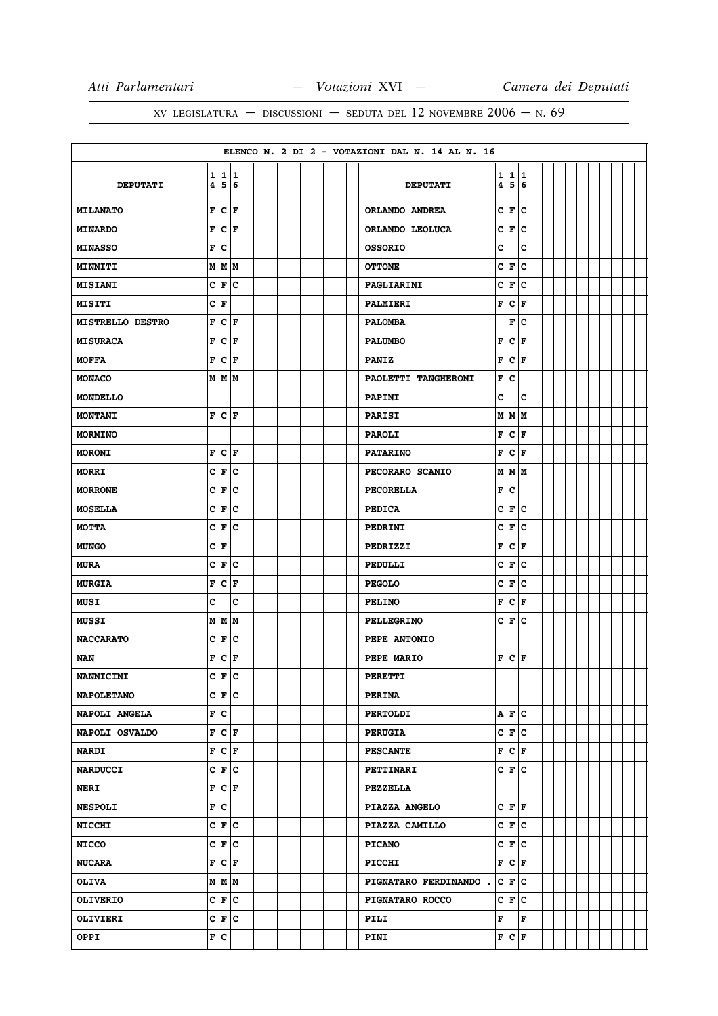|                                      |                        |       |  |  |  |  |  | ELENCO N. 2 DI 2 - VOTAZIONI DAL N. 14 AL N. 16 |        |                   |        |  |  |  |  |  |
|--------------------------------------|------------------------|-------|--|--|--|--|--|-------------------------------------------------|--------|-------------------|--------|--|--|--|--|--|
| $\mathbf{1}$<br>4<br><b>DEPUTATI</b> | 11<br>5 6              |       |  |  |  |  |  | <b>DEPUTATI</b>                                 | 1<br>4 | $\mathbf{1}$<br>5 | 1<br>6 |  |  |  |  |  |
|                                      |                        |       |  |  |  |  |  |                                                 |        |                   |        |  |  |  |  |  |
| F<br><b>MILANATO</b>                 | c                      | l F   |  |  |  |  |  | ORLANDO ANDREA                                  | c      | F                 | C      |  |  |  |  |  |
| F<br><b>MINARDO</b>                  | $ {\bf C}\> {\bf F} $  |       |  |  |  |  |  | ORLANDO LEOLUCA                                 | c      | F                 | c      |  |  |  |  |  |
| F<br><b>MINASSO</b>                  | c                      |       |  |  |  |  |  | <b>OSSORIO</b>                                  | c      |                   | c      |  |  |  |  |  |
| М<br>MINNITI                         | MM                     |       |  |  |  |  |  | <b>OTTONE</b>                                   | c      | F                 | c      |  |  |  |  |  |
| <b>MISIANI</b>                       | C F C                  |       |  |  |  |  |  | PAGLIARINI                                      | c      | F                 | c      |  |  |  |  |  |
| C F<br><b>MISITI</b>                 |                        |       |  |  |  |  |  | PALMIERI                                        | F      | c                 | F      |  |  |  |  |  |
| F<br><b>MISTRELLO DESTRO</b>         | $ {\tt C}\, $ F        |       |  |  |  |  |  | <b>PALOMBA</b>                                  |        | F                 | c      |  |  |  |  |  |
| F<br><b>MISURACA</b>                 | c                      | l F   |  |  |  |  |  | <b>PALUMBO</b>                                  | F      | lc.               | F      |  |  |  |  |  |
| F<br><b>MOFFA</b>                    | $ {\bf C}  {\bf F} $   |       |  |  |  |  |  | <b>PANIZ</b>                                    | F      | lc.               | F      |  |  |  |  |  |
| <b>MONACO</b>                        | M   M   M              |       |  |  |  |  |  | PAOLETTI TANGHERONI                             | F      | lc                |        |  |  |  |  |  |
| <b>MONDELLO</b>                      |                        |       |  |  |  |  |  | <b>PAPINI</b>                                   | C      |                   | C      |  |  |  |  |  |
| F<br><b>MONTANI</b>                  | $ {\bf C}  {\bf F} $   |       |  |  |  |  |  | <b>PARISI</b>                                   |        | M   M   M         |        |  |  |  |  |  |
| <b>MORMINO</b>                       |                        |       |  |  |  |  |  | <b>PAROLI</b>                                   | F      | lc.               | l F    |  |  |  |  |  |
| F<br><b>MORONI</b>                   | $ {\tt C} $ F          |       |  |  |  |  |  | <b>PATARINO</b>                                 | F      | $ {\bf C}\, $ F   |        |  |  |  |  |  |
| C<br><b>MORRI</b>                    | F                      | c     |  |  |  |  |  | PECORARO SCANIO                                 |        | M   M   M         |        |  |  |  |  |  |
| c<br><b>MORRONE</b>                  | F                      | lc    |  |  |  |  |  | <b>PECORELLA</b>                                | F      | c                 |        |  |  |  |  |  |
| c<br><b>MOSELLA</b>                  | F                      | c     |  |  |  |  |  | <b>PEDICA</b>                                   | c      | F                 | c      |  |  |  |  |  |
| c<br><b>MOTTA</b>                    | F                      | c     |  |  |  |  |  | <b>PEDRINI</b>                                  | c      | F                 | c      |  |  |  |  |  |
| C F<br><b>MUNGO</b>                  |                        |       |  |  |  |  |  | PEDRIZZI                                        | F      | c                 | F      |  |  |  |  |  |
| C<br><b>MURA</b>                     | F                      | c     |  |  |  |  |  | PEDULLI                                         | c      | F                 | c      |  |  |  |  |  |
| $\mathbf F$<br><b>MURGIA</b>         | $ {\bf C}\> {\bf F}\>$ |       |  |  |  |  |  | <b>PEGOLO</b>                                   | c      | F                 | c      |  |  |  |  |  |
| c<br><b>MUSI</b>                     |                        | c     |  |  |  |  |  | <b>PELINO</b>                                   | F      | c                 | F      |  |  |  |  |  |
| <b>MUSSI</b>                         | M   M   M              |       |  |  |  |  |  | <b>PELLEGRINO</b>                               |        | C F               | c      |  |  |  |  |  |
| c<br><b>NACCARATO</b>                | F                      | c     |  |  |  |  |  | PEPE ANTONIO                                    |        |                   |        |  |  |  |  |  |
| F<br>NAN                             | $ {\bf C}  {\bf F} $   |       |  |  |  |  |  | PEPE MARIO                                      | F      | lc.               | F      |  |  |  |  |  |
| $\mathbf c$<br><b>NANNICINI</b>      | IF.                    | c     |  |  |  |  |  | <b>PERETTI</b>                                  |        |                   |        |  |  |  |  |  |
| C F <br><b>NAPOLETANO</b>            |                        | lc.   |  |  |  |  |  | <b>PERINA</b>                                   |        |                   |        |  |  |  |  |  |
| F C<br>NAPOLI ANGELA                 |                        |       |  |  |  |  |  | <b>PERTOLDI</b>                                 |        | A F C             |        |  |  |  |  |  |
| NAPOLI OSVALDO                       | F C F                  |       |  |  |  |  |  | <b>PERUGIA</b>                                  |        | C F               | c      |  |  |  |  |  |
| <b>NARDI</b>                         | F C F                  |       |  |  |  |  |  | <b>PESCANTE</b>                                 |        | F C F             |        |  |  |  |  |  |
| <b>NARDUCCI</b>                      | C F C                  |       |  |  |  |  |  | <b>PETTINARI</b>                                |        | C F C             |        |  |  |  |  |  |
| F<br><b>NERI</b>                     | $ {\bf C} $ F          |       |  |  |  |  |  | <b>PEZZELLA</b>                                 |        |                   |        |  |  |  |  |  |
| F C<br><b>NESPOLI</b>                |                        |       |  |  |  |  |  | PIAZZA ANGELO                                   |        | C F F             |        |  |  |  |  |  |
| <b>NICCHI</b>                        | $C \mid F \mid C$      |       |  |  |  |  |  | PIAZZA CAMILLO                                  |        | C F               | c      |  |  |  |  |  |
| <b>NICCO</b>                         |                        | C F C |  |  |  |  |  | <b>PICANO</b>                                   |        | C F C             |        |  |  |  |  |  |
| F<br><b>NUCARA</b>                   | $ {\tt C} \,  $ F      |       |  |  |  |  |  | <b>PICCHI</b>                                   | F      | $ {\bf C} $ F     |        |  |  |  |  |  |
| <b>OLIVA</b>                         | M M M                  |       |  |  |  |  |  | PIGNATARO FERDINANDO.                           |        | C F C             |        |  |  |  |  |  |
| <b>OLIVERIO</b>                      | C F C                  |       |  |  |  |  |  | <b>PIGNATARO ROCCO</b>                          |        | C F               | c      |  |  |  |  |  |
| OLIVIERI                             | C F C                  |       |  |  |  |  |  | PILI                                            | F      |                   | F      |  |  |  |  |  |
| F C<br>OPPI                          |                        |       |  |  |  |  |  | PINI                                            |        | F C F             |        |  |  |  |  |  |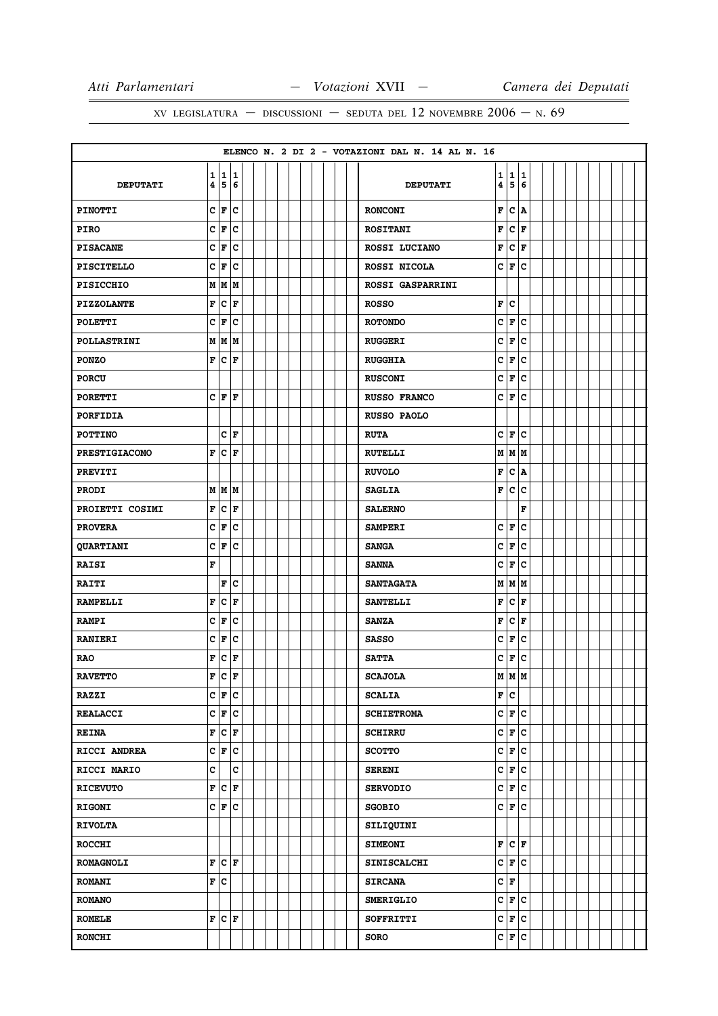|                      |   |     |                            |  |  |  |  | ELENCO N. 2 DI 2 - VOTAZIONI DAL N. 14 AL N. 16 |                         |           |        |  |  |  |  |
|----------------------|---|-----|----------------------------|--|--|--|--|-------------------------------------------------|-------------------------|-----------|--------|--|--|--|--|
| <b>DEPUTATI</b>      | 4 |     | 1 1 1<br>5 6               |  |  |  |  | <b>DEPUTATI</b>                                 | $\overline{\mathbf{4}}$ | 1 1 <br>5 | 1<br>6 |  |  |  |  |
| <b>PINOTTI</b>       |   | C F | lc.                        |  |  |  |  | <b>RONCONI</b>                                  | F                       | c         | A      |  |  |  |  |
| <b>PIRO</b>          |   |     | $c \mid \mathbf{F} \mid c$ |  |  |  |  | <b>ROSITANI</b>                                 | F                       |           | C F    |  |  |  |  |
| <b>PISACANE</b>      |   | C F | c                          |  |  |  |  | ROSSI LUCIANO                                   | F                       | c         | F      |  |  |  |  |
| <b>PISCITELLO</b>    |   | C F | c                          |  |  |  |  | ROSSI NICOLA                                    |                         | C F       | c      |  |  |  |  |
| <b>PISICCHIO</b>     |   |     | M   M   M                  |  |  |  |  | <b>ROSSI GASPARRINI</b>                         |                         |           |        |  |  |  |  |
| <b>PIZZOLANTE</b>    | F |     | $ {\tt C}\> {\tt F}\>$     |  |  |  |  | <b>ROSSO</b>                                    | F                       | lc.       |        |  |  |  |  |
| <b>POLETTI</b>       |   |     | $C \mid F \mid C$          |  |  |  |  | <b>ROTONDO</b>                                  | c                       | F C       |        |  |  |  |  |
| <b>POLLASTRINI</b>   |   |     | M   M   M                  |  |  |  |  | <b>RUGGERI</b>                                  | c                       | F         | c      |  |  |  |  |
| <b>PONZO</b>         |   |     | F C F                      |  |  |  |  | <b>RUGGHIA</b>                                  | c                       | F         | C      |  |  |  |  |
| <b>PORCU</b>         |   |     |                            |  |  |  |  | <b>RUSCONI</b>                                  | c                       | F         | c      |  |  |  |  |
| <b>PORETTI</b>       |   |     | C F F                      |  |  |  |  | RUSSO FRANCO                                    |                         | C F C     |        |  |  |  |  |
| PORFIDIA             |   |     |                            |  |  |  |  | <b>RUSSO PAOLO</b>                              |                         |           |        |  |  |  |  |
| <b>POTTINO</b>       |   |     | C F                        |  |  |  |  | <b>RUTA</b>                                     |                         | $ C $ F   | c      |  |  |  |  |
| <b>PRESTIGIACOMO</b> |   |     | F C F                      |  |  |  |  | <b>RUTELLI</b>                                  |                         | M   M   M |        |  |  |  |  |
| <b>PREVITI</b>       |   |     |                            |  |  |  |  | <b>RUVOLO</b>                                   | F                       |           | C A    |  |  |  |  |
| <b>PRODI</b>         |   |     | M   M   M                  |  |  |  |  | <b>SAGLIA</b>                                   | F                       | c         | с      |  |  |  |  |
| PROIETTI COSIMI      | F | c   | F                          |  |  |  |  | <b>SALERNO</b>                                  |                         |           | F      |  |  |  |  |
| <b>PROVERA</b>       |   |     | C F C                      |  |  |  |  | <b>SAMPERI</b>                                  |                         | C F       | c      |  |  |  |  |
| <b>QUARTIANI</b>     |   |     | C F C                      |  |  |  |  | <b>SANGA</b>                                    | c                       | F         | c      |  |  |  |  |
| <b>RAISI</b>         | F |     |                            |  |  |  |  | <b>SANNA</b>                                    | c                       | F         | c      |  |  |  |  |
| <b>RAITI</b>         |   |     | F C                        |  |  |  |  | <b>SANTAGATA</b>                                |                         | M   M   M |        |  |  |  |  |
| <b>RAMPELLI</b>      | F |     | C F                        |  |  |  |  | <b>SANTELLI</b>                                 | F                       | c         | F      |  |  |  |  |
| <b>RAMPI</b>         |   |     | $C \mid F \mid C$          |  |  |  |  | <b>SANZA</b>                                    | F                       | C F       |        |  |  |  |  |
| <b>RANIERI</b>       |   | C F | c                          |  |  |  |  | <b>SASSO</b>                                    | c                       | F         | c      |  |  |  |  |
| <b>RAO</b>           |   |     | F C F                      |  |  |  |  | <b>SATTA</b>                                    | c                       | F         | lc.    |  |  |  |  |
| <b>RAVETTO</b>       |   |     | F C F                      |  |  |  |  | <b>SCAJOLA</b>                                  |                         | м  м  м   |        |  |  |  |  |
| <b>RAZZI</b>         |   |     | $C \mathbf{F} C$           |  |  |  |  | <b>SCALIA</b>                                   |                         | F C       |        |  |  |  |  |
| <b>REALACCI</b>      |   |     | $C \mid F \mid C$          |  |  |  |  | <b>SCHIETROMA</b>                               |                         | C F C     |        |  |  |  |  |
| <b>REINA</b>         |   |     | F C F                      |  |  |  |  | <b>SCHIRRU</b>                                  |                         | c F c     |        |  |  |  |  |
| RICCI ANDREA         |   |     | C F C                      |  |  |  |  | <b>SCOTTO</b>                                   |                         | C F C     |        |  |  |  |  |
| <b>RICCI MARIO</b>   | c |     | c                          |  |  |  |  | <b>SERENI</b>                                   |                         | c F c     |        |  |  |  |  |
| <b>RICEVUTO</b>      |   |     | F C F                      |  |  |  |  | <b>SERVODIO</b>                                 |                         | c F c     |        |  |  |  |  |
| <b>RIGONI</b>        |   |     | C F C                      |  |  |  |  | <b>SGOBIO</b>                                   |                         | C F C     |        |  |  |  |  |
| <b>RIVOLTA</b>       |   |     |                            |  |  |  |  | SILIQUINI                                       |                         |           |        |  |  |  |  |
| <b>ROCCHI</b>        |   |     |                            |  |  |  |  | <b>SIMEONI</b>                                  |                         | F C F     |        |  |  |  |  |
| <b>ROMAGNOLI</b>     |   |     | F C F                      |  |  |  |  | <b>SINISCALCHI</b>                              |                         | C F C     |        |  |  |  |  |
| <b>ROMANI</b>        |   | F C |                            |  |  |  |  | <b>SIRCANA</b>                                  |                         | C F       |        |  |  |  |  |
| <b>ROMANO</b>        |   |     |                            |  |  |  |  | <b>SMERIGLIO</b>                                |                         | c F c     |        |  |  |  |  |
| <b>ROMELE</b>        |   |     | F C F                      |  |  |  |  | <b>SOFFRITTI</b>                                |                         | c F c     |        |  |  |  |  |
| <b>RONCHI</b>        |   |     |                            |  |  |  |  | <b>SORO</b>                                     |                         | C F C     |        |  |  |  |  |